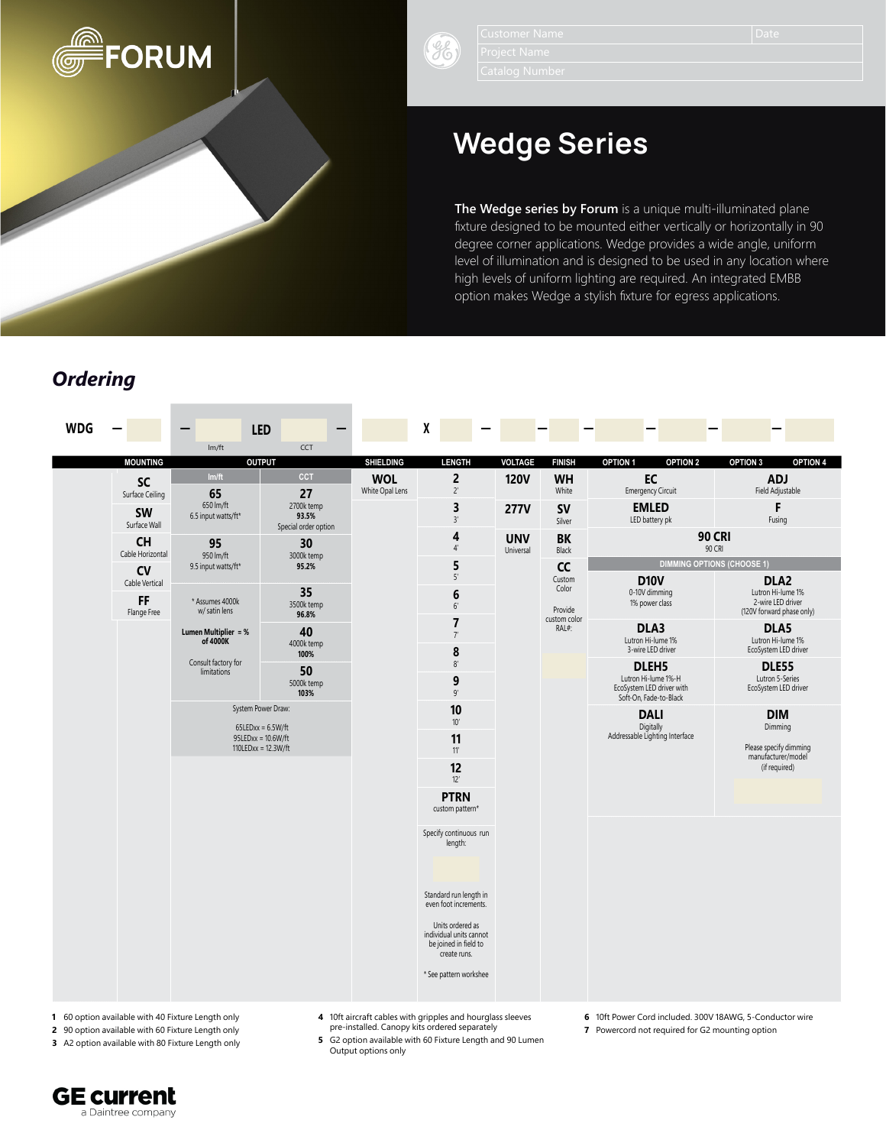

 $\mathscr{E}$ 

# Wedge Series

**The Wedge series by Forum** is a unique multi-illuminated plane fixture designed to be mounted either vertically or horizontally in 90 degree corner applications. Wedge provides a wide angle, uniform level of illumination and is designed to be used in any location where high levels of uniform lighting are required. An integrated EMBB option makes Wedge a stylish fixture for egress applications.

# *Ordering*

| <b>WDG</b> |                                              |                                        | <b>LED</b>                                                                   |                               | χ                                                                                    |                    |                                  |                                                                                     |                                                                     |
|------------|----------------------------------------------|----------------------------------------|------------------------------------------------------------------------------|-------------------------------|--------------------------------------------------------------------------------------|--------------------|----------------------------------|-------------------------------------------------------------------------------------|---------------------------------------------------------------------|
|            | <b>MOUNTING</b>                              | Im/ft                                  | CCT<br><b>OUTPUT</b>                                                         | <b>SHIELDING</b>              | <b>LENGTH</b>                                                                        | <b>VOLTAGE</b>     | <b>FINISH</b>                    | <b>OPTION 1</b><br>OPTION <sub>2</sub>                                              | OPTION 3<br><b>OPTION 4</b>                                         |
|            | <b>SC</b>                                    | Im/ft                                  | <b>CCT</b>                                                                   | <b>WOL</b><br>White Opal Lens | $\overline{2}$<br>$2^{\prime}$                                                       | <b>120V</b>        | <b>WH</b><br>White               | EC<br><b>Emergency Circuit</b>                                                      | <b>ADJ</b><br>Field Adjustable                                      |
|            | Surface Ceiling<br><b>SW</b><br>Surface Wall | 65<br>650 lm/ft<br>6.5 input watts/ft* | 27<br>2700k temp<br>93.5%<br>Special order option                            |                               | 3<br>3'                                                                              | <b>277V</b>        | <b>SV</b><br>Silver              | <b>EMLED</b><br>LED battery pk                                                      | F<br>Fusing                                                         |
|            | <b>CH</b><br>Cable Horizontal                | 95<br>30<br>950 lm/ft<br>3000k temp    |                                                                              | 4<br>$4'$                     | <b>UNV</b><br>Universal                                                              | <b>BK</b><br>Black | <b>90 CRI</b><br>90 CRI          |                                                                                     |                                                                     |
|            | CV                                           | 9.5 input watts/ft*                    | 95.2%                                                                        |                               | 5<br>$5'$                                                                            |                    | cc<br>Custom                     | <b>DIMMING OPTIONS (CHOOSE 1)</b><br><b>D10V</b>                                    | DLA <sub>2</sub>                                                    |
|            | Cable Vertical<br><b>FF</b><br>Flange Free   | * Assumes 4000k<br>w/ satin lens       | 35<br>3500k temp<br>96.8%                                                    |                               | 6<br>6'                                                                              |                    | Color<br>Provide<br>custom color | 0-10V dimming<br>1% power class                                                     | Lutron Hi-lume 1%<br>2-wire LED driver<br>(120V forward phase only) |
|            |                                              | Lumen Multiplier = %<br>of 4000K       | 40<br>4000k temp<br>100%                                                     |                               | $\overline{7}$<br>7'<br>8                                                            |                    | RAL#:                            | DLA3<br>Lutron Hi-lume 1%<br>3-wire LED driver                                      | DLA5<br>Lutron Hi-lume 1%<br>EcoSystem LED driver                   |
|            |                                              | Consult factory for<br>limitations     | 50<br>5000k temp<br>103%                                                     |                               | 8'<br>9<br>9'                                                                        |                    |                                  | DLEH5<br>Lutron Hi-lume 1%-H<br>EcoSystem LED driver with<br>Soft-On, Fade-to-Black | <b>DLE55</b><br>Lutron 5-Series<br>EcoSystem LED driver             |
|            |                                              |                                        | System Power Draw:                                                           |                               | 10<br>$10'$                                                                          |                    |                                  | <b>DALI</b>                                                                         | <b>DIM</b>                                                          |
|            |                                              |                                        | $65$ LEDxx = $6.5$ W/ft<br>$95LEDxx = 10.6W/ft$<br>$110$ LEDxx = $12.3$ W/ft |                               | 11<br>11'                                                                            |                    |                                  | Digitally<br>Addressable Lighting Interface                                         | Dimming<br>Please specify dimming<br>manufacturer/model             |
|            |                                              |                                        |                                                                              |                               | 12<br>12'                                                                            |                    |                                  |                                                                                     | (if required)                                                       |
|            |                                              |                                        |                                                                              |                               | <b>PTRN</b><br>custom pattern*                                                       |                    |                                  |                                                                                     |                                                                     |
|            |                                              |                                        |                                                                              |                               | Specify continuous run<br>length:                                                    |                    |                                  |                                                                                     |                                                                     |
|            |                                              |                                        |                                                                              |                               | Standard run length in<br>even foot increments.                                      |                    |                                  |                                                                                     |                                                                     |
|            |                                              |                                        |                                                                              |                               | Units ordered as<br>individual units cannot<br>be joined in field to<br>create runs. |                    |                                  |                                                                                     |                                                                     |
|            |                                              |                                        |                                                                              |                               | * See pattern workshee                                                               |                    |                                  |                                                                                     |                                                                     |

- **1** 60 option available with 40 Fixture Length only
- **2** 90 option available with 60 Fixture Length only
- **3** A2 option available with 80 Fixture Length only
- **4** 10ft aircraft cables with gripples and hourglass sleeves pre-installed. Canopy kits ordered separately
- **6** 10ft Power Cord included. 300V 18AWG, 5-Conductor wire
- **7** Powercord not required for G2 mounting option
- **5** G2 option available with 60 Fixture Length and 90 Lumen Output options only
- 
- 

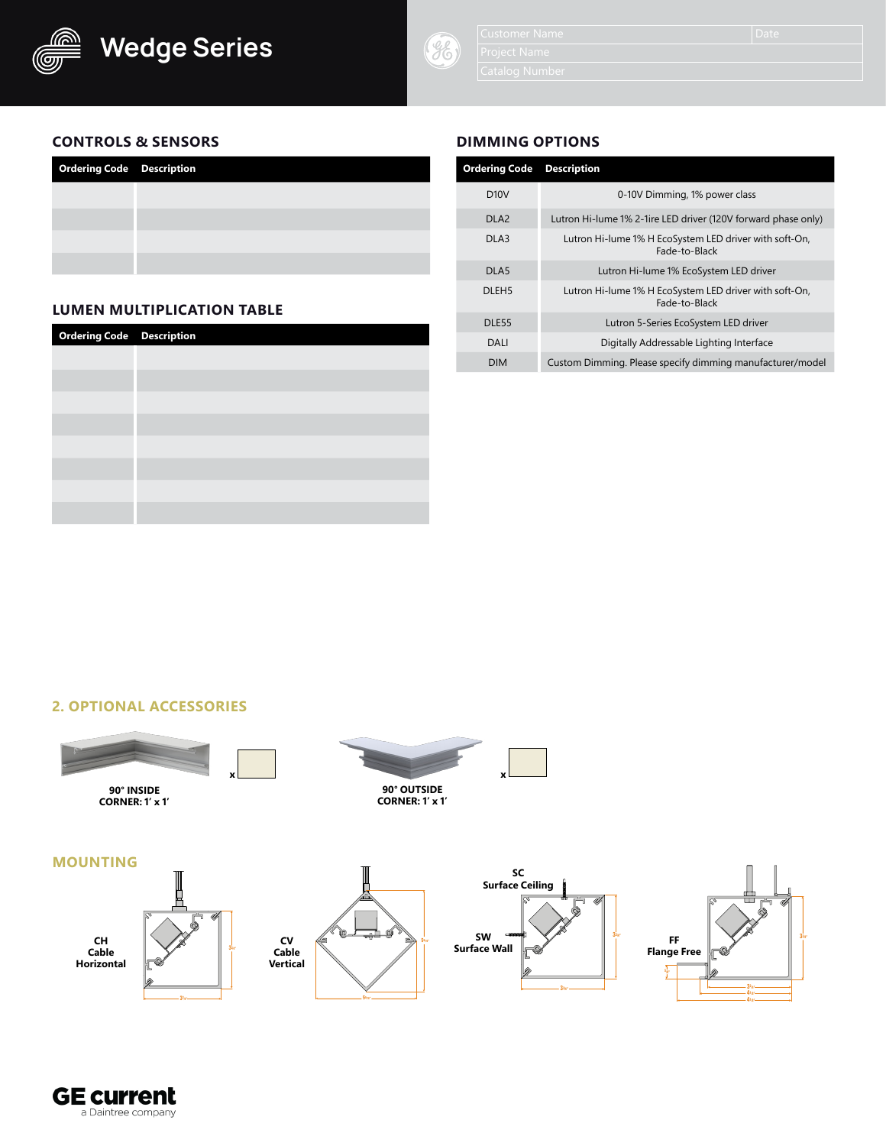



# **CONTROLS & SENSORS**

| <b>Ordering Code Description</b> |  |
|----------------------------------|--|
|                                  |  |
|                                  |  |
|                                  |  |
|                                  |  |

# **LUMEN MULTIPLICATION TABLE**

| <b>Ordering Code</b> Description |  |
|----------------------------------|--|
|                                  |  |
|                                  |  |
|                                  |  |
|                                  |  |
|                                  |  |
|                                  |  |
|                                  |  |
|                                  |  |
|                                  |  |

# **DIMMING OPTIONS**

| <b>Ordering Code</b> | <b>Description</b>                                                      |
|----------------------|-------------------------------------------------------------------------|
| D10V                 | 0-10V Dimming, 1% power class                                           |
| DI A2                | Lutron Hi-lume 1% 2-1ire LED driver (120V forward phase only)           |
| DI A3                | Lutron Hi-lume 1% H EcoSystem LED driver with soft-On,<br>Fade-to-Black |
| DLA <sub>5</sub>     | Lutron Hi-lume 1% EcoSystem LED driver                                  |
| DLEH <sub>5</sub>    | Lutron Hi-lume 1% H EcoSystem LED driver with soft-On,<br>Fade-to-Black |
| DLE <sub>55</sub>    | Lutron 5-Series EcoSystem LED driver                                    |
| DAI I                | Digitally Addressable Lighting Interface                                |
| <b>DIM</b>           | Custom Dimming. Please specify dimming manufacturer/model               |

#### **2. OPTIONAL ACCESSORIES**



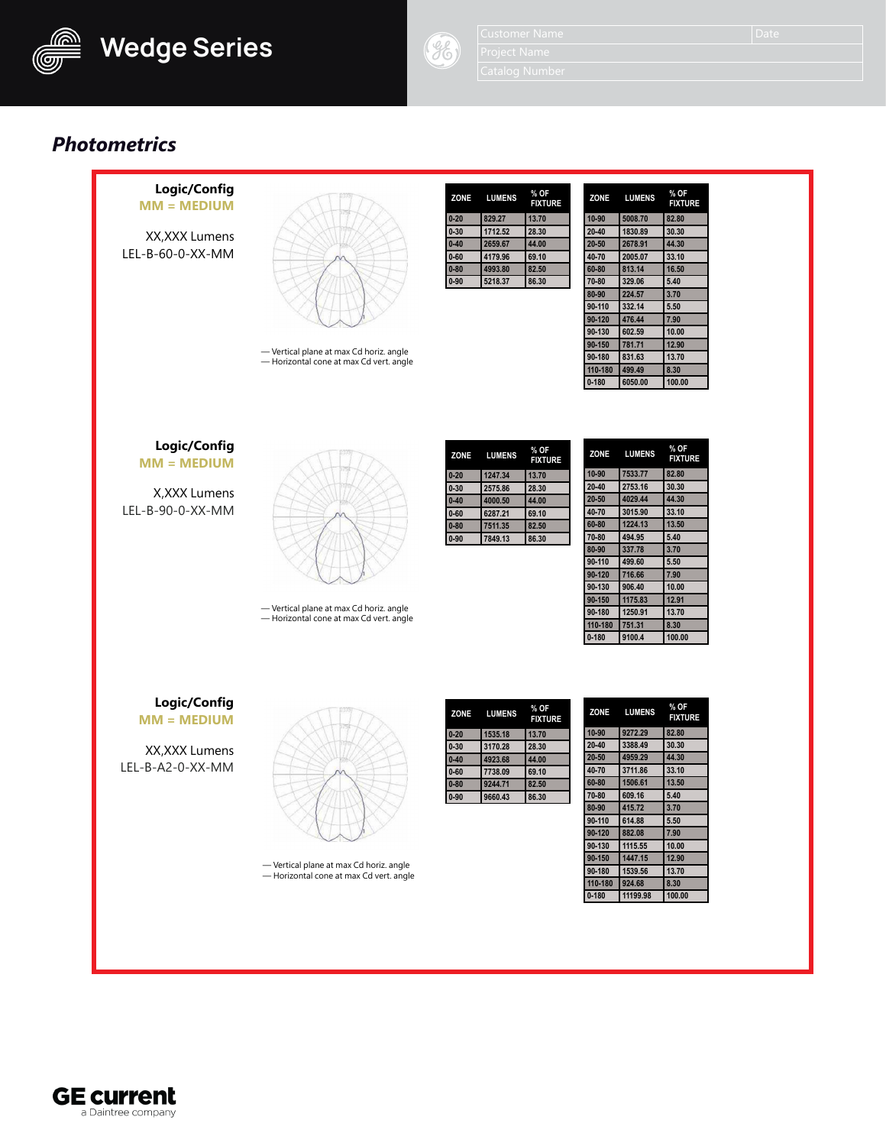



*Photometrics*



**GE current** a Daintree company